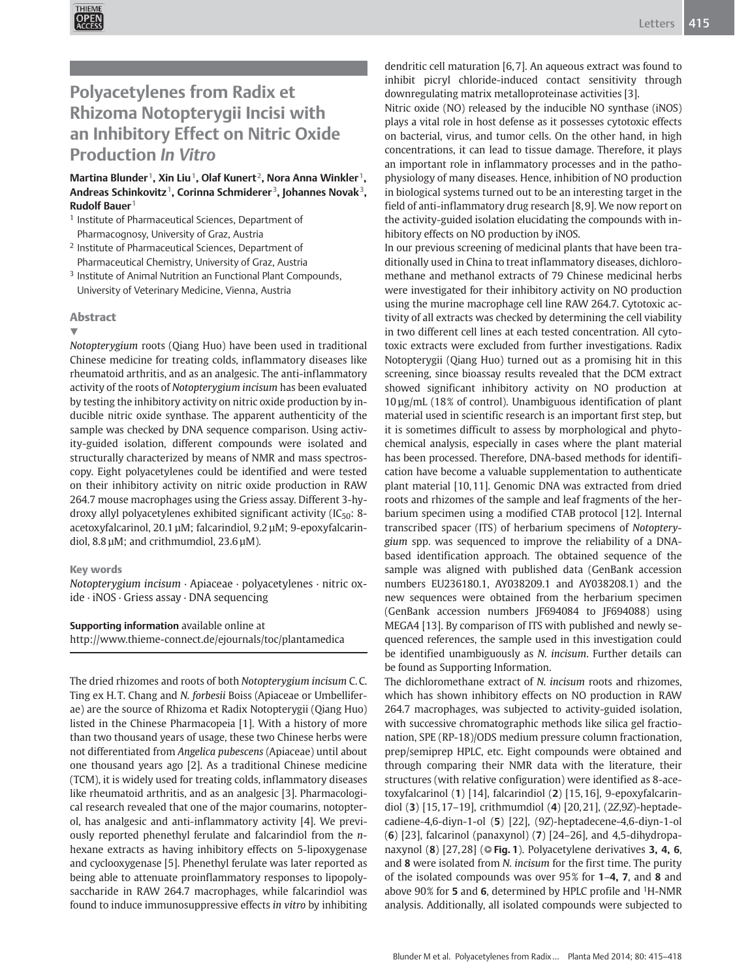

# Polyacetylenes from Radix et Rhizoma Notopterygii Incisi with an Inhibitory Effect on Nitric Oxide Production In Vitro

## Martina Blunder<sup>1</sup>, Xin Liu<sup>1</sup>, Olaf Kunert<sup>2</sup>, Nora Anna Winkler<sup>1</sup>, Andreas Schinkovitz<sup>1</sup>, Corinna Schmiderer<sup>3</sup>, Johannes Novak<sup>3</sup>, Rudolf Bauer $1$

- <sup>1</sup> Institute of Pharmaceutical Sciences, Department of Pharmacognosy, University of Graz, Austria
- <sup>2</sup> Institute of Pharmaceutical Sciences, Department of Pharmaceutical Chemistry, University of Graz, Austria
- <sup>3</sup> Institute of Animal Nutrition an Functional Plant Compounds, University of Veterinary Medicine, Vienna, Austria

### Abstract

#### v,

Notopterygium roots (Qiang Huo) have been used in traditional Chinese medicine for treating colds, inflammatory diseases like rheumatoid arthritis, and as an analgesic. The anti-inflammatory activity of the roots of Notopterygium incisum has been evaluated by testing the inhibitory activity on nitric oxide production by inducible nitric oxide synthase. The apparent authenticity of the sample was checked by DNA sequence comparison. Using activity-guided isolation, different compounds were isolated and structurally characterized by means of NMR and mass spectroscopy. Eight polyacetylenes could be identified and were tested on their inhibitory activity on nitric oxide production in RAW 264.7 mouse macrophages using the Griess assay. Different 3-hydroxy allyl polyacetylenes exhibited significant activity ( $IC_{50}$ : 8acetoxyfalcarinol, 20.1 µM; falcarindiol, 9.2 µM; 9-epoxyfalcarindiol, 8.8 µM; and crithmumdiol, 23.6 µM).

### Key words

Notopterygium incisum · Apiaceae · polyacetylenes · nitric oxide · iNOS · Griess assay · DNA sequencing

### Supporting information available online at

http://www.thieme-connect.de/ejournals/toc/plantamedica

The dried rhizomes and roots of both Notopterygium incisum C. C. Ting ex H. T. Chang and N. forbesii Boiss (Apiaceae or Umbelliferae) are the source of Rhizoma et Radix Notopterygii (Qiang Huo) listed in the Chinese Pharmacopeia [1]. With a history of more than two thousand years of usage, these two Chinese herbs were not differentiated from Angelica pubescens (Apiaceae) until about one thousand years ago [2]. As a traditional Chinese medicine (TCM), it is widely used for treating colds, inflammatory diseases like rheumatoid arthritis, and as an analgesic [3]. Pharmacological research revealed that one of the major coumarins, notopterol, has analgesic and anti-inflammatory activity [4]. We previously reported phenethyl ferulate and falcarindiol from the nhexane extracts as having inhibitory effects on 5-lipoxygenase and cyclooxygenase [5]. Phenethyl ferulate was later reported as being able to attenuate proinflammatory responses to lipopolysaccharide in RAW 264.7 macrophages, while falcarindiol was found to induce immunosuppressive effects in vitro by inhibiting dendritic cell maturation [6, 7]. An aqueous extract was found to inhibit picryl chloride-induced contact sensitivity through downregulating matrix metalloproteinase activities [3].

Nitric oxide (NO) released by the inducible NO synthase (iNOS) plays a vital role in host defense as it possesses cytotoxic effects on bacterial, virus, and tumor cells. On the other hand, in high concentrations, it can lead to tissue damage. Therefore, it plays an important role in inflammatory processes and in the pathophysiology of many diseases. Hence, inhibition of NO production in biological systems turned out to be an interesting target in the field of anti-inflammatory drug research [8, 9]. We now report on the activity-guided isolation elucidating the compounds with inhibitory effects on NO production by iNOS.

In our previous screening of medicinal plants that have been traditionally used in China to treat inflammatory diseases, dichloromethane and methanol extracts of 79 Chinese medicinal herbs were investigated for their inhibitory activity on NO production using the murine macrophage cell line RAW 264.7. Cytotoxic activity of all extracts was checked by determining the cell viability in two different cell lines at each tested concentration. All cytotoxic extracts were excluded from further investigations. Radix Notopterygii (Qiang Huo) turned out as a promising hit in this screening, since bioassay results revealed that the DCM extract showed significant inhibitory activity on NO production at 10 µg/mL (18% of control). Unambiguous identification of plant material used in scientific research is an important first step, but it is sometimes difficult to assess by morphological and phytochemical analysis, especially in cases where the plant material has been processed. Therefore, DNA-based methods for identification have become a valuable supplementation to authenticate plant material [10, 11]. Genomic DNA was extracted from dried roots and rhizomes of the sample and leaf fragments of the herbarium specimen using a modified CTAB protocol [12]. Internal transcribed spacer (ITS) of herbarium specimens of Notopterygium spp. was sequenced to improve the reliability of a DNAbased identification approach. The obtained sequence of the sample was aligned with published data (GenBank accession numbers EU236180.1, AY038209.1 and AY038208.1) and the new sequences were obtained from the herbarium specimen (GenBank accession numbers JF694084 to JF694088) using MEGA4 [13]. By comparison of ITS with published and newly sequenced references, the sample used in this investigation could be identified unambiguously as N. incisum. Further details can be found as Supporting Information.

The dichloromethane extract of N. incisum roots and rhizomes, which has shown inhibitory effects on NO production in RAW 264.7 macrophages, was subjected to activity-guided isolation, with successive chromatographic methods like silica gel fractionation, SPE (RP-18)/ODS medium pressure column fractionation, prep/semiprep HPLC, etc. Eight compounds were obtained and through comparing their NMR data with the literature, their structures (with relative configuration) were identified as 8-acetoxyfalcarinol (1) [14], falcarindiol (2) [15, 16], 9-epoxyfalcarindiol (3) [15, 17–19], crithmumdiol (4) [20, 21], (2Z,9Z)-heptadecadiene-4,6-diyn-1-ol (5) [22], (9Z)-heptadecene-4,6-diyn-1-ol (6) [23], falcarinol (panaxynol) (7) [24–26], and 4,5-dihydropanaxynol  $(8)$  [27,28] ( $\circ$  Fig. 1). Polyacetylene derivatives 3, 4, 6, and 8 were isolated from N. incisum for the first time. The purity of the isolated compounds was over 95% for 1–4, 7, and 8 and above  $90\%$  for 5 and 6, determined by HPLC profile and  ${}^{1}$ H-NMR analysis. Additionally, all isolated compounds were subjected to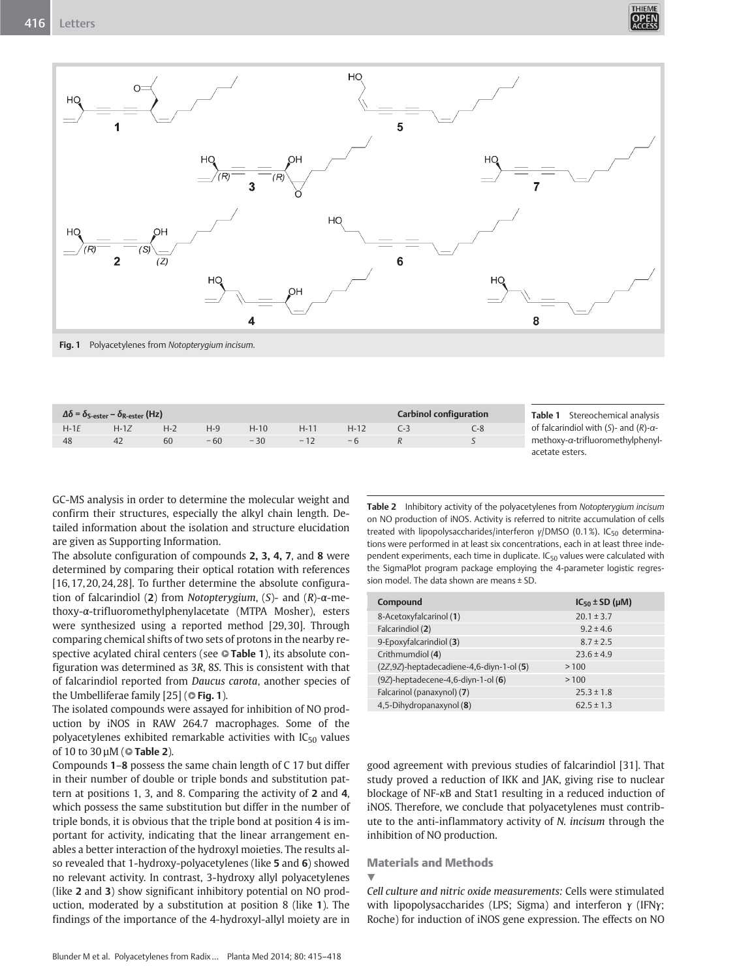



Fig. 1 Polyacetylenes from Notopterygium incisum.

| $\Delta \delta$ = $\delta_{\rm S\text{-ester}}$ – $\delta_{\rm R\text{-ester}}$ (Hz) |      |         |       |       |       |      |  | <b>Carbinol configuration</b> | Stereochemical analysis<br>Table 1            |
|--------------------------------------------------------------------------------------|------|---------|-------|-------|-------|------|--|-------------------------------|-----------------------------------------------|
| $H-1F$                                                                               | H-17 | $H - 2$ | $H-9$ | H-10  |       | H-12 |  | C-8                           | of falcarindiol with (S)- and (R)- $\alpha$ - |
| 48                                                                                   | 42   | 60      | $-60$ | $-30$ | $-17$ |      |  |                               | methoxy-a-trifluoromethylphenyl-              |
|                                                                                      |      |         |       |       |       |      |  |                               | acetate esters.                               |

GC‑MS analysis in order to determine the molecular weight and confirm their structures, especially the alkyl chain length. Detailed information about the isolation and structure elucidation are given as Supporting Information.

The absolute configuration of compounds 2, 3, 4, 7, and 8 were determined by comparing their optical rotation with references [16, 17, 20, 24, 28]. To further determine the absolute configuration of falcarindiol (2) from Notopterygium, (S)- and (R)-α-methoxy-α-trifluoromethylphenylacetate (MTPA Mosher), esters were synthesized using a reported method [29, 30]. Through comparing chemical shifts of two sets of protons in the nearby respective acylated chiral centers (see  $\bullet$  Table 1), its absolute configuration was determined as 3R, 8S. This is consistent with that of falcarindiol reported from Daucus carota, another species of the Umbelliferae family  $[25]$  ( $\circ$  Fig. 1).

The isolated compounds were assayed for inhibition of NO production by iNOS in RAW 264.7 macrophages. Some of the polyacetylenes exhibited remarkable activities with  $IC_{50}$  values of 10 to 30  $\mu$ M ( $\odot$  Table 2).

Compounds 1–8 possess the same chain length of C 17 but differ in their number of double or triple bonds and substitution pattern at positions 1, 3, and 8. Comparing the activity of 2 and 4, which possess the same substitution but differ in the number of triple bonds, it is obvious that the triple bond at position 4 is important for activity, indicating that the linear arrangement enables a better interaction of the hydroxyl moieties. The results also revealed that 1-hydroxy-polyacetylenes (like 5 and 6) showed no relevant activity. In contrast, 3-hydroxy allyl polyacetylenes (like 2 and 3) show significant inhibitory potential on NO production, moderated by a substitution at position 8 (like 1). The findings of the importance of the 4-hydroxyl-allyl moiety are in

Table 2 Inhibitory activity of the polyacetylenes from Notopterygium incisum on NO production of iNOS. Activity is referred to nitrite accumulation of cells treated with lipopolysaccharides/interferon γ/DMSO (0.1%). IC<sub>50</sub> determinations were performed in at least six concentrations, each in at least three independent experiments, each time in duplicate.  $IC_{50}$  values were calculated with the SigmaPlot program package employing the 4-parameter logistic regression model. The data shown are means ± SD

| Compound                                | $IC_{50} \pm SD$ (µM) |
|-----------------------------------------|-----------------------|
| 8-Acetoxyfalcarinol (1)                 | $20.1 \pm 3.7$        |
| Falcarindiol (2)                        | $9.2 \pm 4.6$         |
| 9-Epoxyfalcarindiol (3)                 | $8.7 \pm 2.5$         |
| Crithmumdiol (4)                        | $23.6 \pm 4.9$        |
| (2Z,9Z)-heptadecadiene-4,6-diyn-1-ol(5) | >100                  |
| $(9Z)$ -heptadecene-4,6-diyn-1-ol $(6)$ | >100                  |
| Falcarinol (panaxynol) (7)              | $25.3 \pm 1.8$        |
| 4,5-Dihydropanaxynol (8)                | $62.5 \pm 1.3$        |
|                                         |                       |

good agreement with previous studies of falcarindiol [31]. That study proved a reduction of IKK and JAK, giving rise to nuclear blockage of NF-κB and Stat1 resulting in a reduced induction of iNOS. Therefore, we conclude that polyacetylenes must contribute to the anti-inflammatory activity of N. incisum through the inhibition of NO production.

# Materials and Methods

 $\blacktriangledown$ 

Cell culture and nitric oxide measurements: Cells were stimulated with lipopolysaccharides (LPS; Sigma) and interferon γ (IFNγ; Roche) for induction of iNOS gene expression. The effects on NO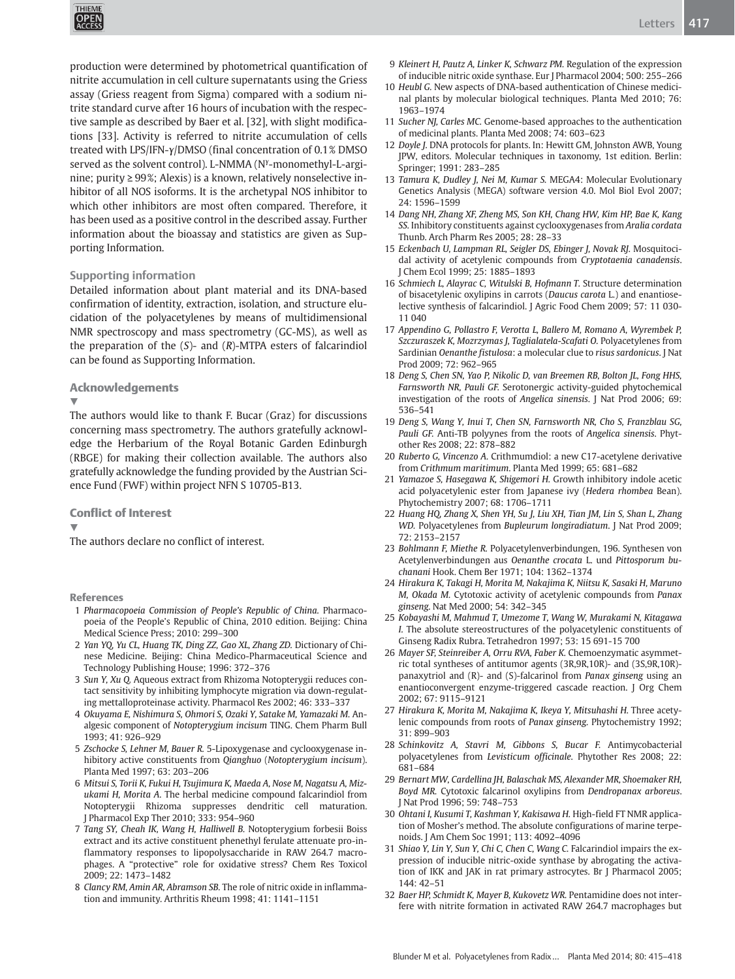

production were determined by photometrical quantification of nitrite accumulation in cell culture supernatants using the Griess assay (Griess reagent from Sigma) compared with a sodium nitrite standard curve after 16 hours of incubation with the respective sample as described by Baer et al. [32], with slight modifications [33]. Activity is referred to nitrite accumulation of cells treated with LPS/IFN-γ/DMSO (final concentration of 0.1% DMSO served as the solvent control). L-NMMA (N<sup>y</sup>-monomethyl-L-arginine; purity ≥ 99%; Alexis) is a known, relatively nonselective inhibitor of all NOS isoforms. It is the archetypal NOS inhibitor to which other inhibitors are most often compared. Therefore, it has been used as a positive control in the described assay. Further information about the bioassay and statistics are given as Supporting Information.

### Supporting information

Detailed information about plant material and its DNA-based confirmation of identity, extraction, isolation, and structure elucidation of the polyacetylenes by means of multidimensional NMR spectroscopy and mass spectrometry (GC‑MS), as well as the preparation of the  $(S)$ - and  $(R)$ -MTPA esters of falcarindiol can be found as Supporting Information.

### Acknowledgements

v,

The authors would like to thank F. Bucar (Graz) for discussions concerning mass spectrometry. The authors gratefully acknowledge the Herbarium of the Royal Botanic Garden Edinburgh (RBGE) for making their collection available. The authors also gratefully acknowledge the funding provided by the Austrian Science Fund (FWF) within project NFN S 10705-B13.

#### Conflict of Interest

 $\blacktriangledown$ 

The authors declare no conflict of interest.

#### References

- 1 Pharmacopoeia Commission of People's Republic of China. Pharmacopoeia of the People's Republic of China, 2010 edition. Beijing: China Medical Science Press; 2010: 299–300
- 2 Yan YQ, Yu CL, Huang TK, Ding ZZ, Gao XL, Zhang ZD. Dictionary of Chinese Medicine. Beijing: China Medico-Pharmaceutical Science and Technology Publishing House; 1996: 372–376
- 3 Sun Y, Xu Q. Aqueous extract from Rhizoma Notopterygii reduces contact sensitivity by inhibiting lymphocyte migration via down-regulating mettalloproteinase activity. Pharmacol Res 2002; 46: 333–337
- 4 Okuyama E, Nishimura S, Ohmori S, Ozaki Y, Satake M, Yamazaki M. Analgesic component of Notopterygium incisum TING. Chem Pharm Bull 1993; 41: 926–929
- 5 Zschocke S, Lehner M, Bauer R. 5-Lipoxygenase and cyclooxygenase inhibitory active constituents from Qianghuo (Notopterygium incisum). Planta Med 1997; 63: 203–206
- 6 Mitsui S, Torii K, Fukui H, Tsujimura K, Maeda A, Nose M, Nagatsu A, Mizukami H, Morita A. The herbal medicine compound falcarindiol from Notopterygii Rhizoma suppresses dendritic cell maturation. J Pharmacol Exp Ther 2010; 333: 954–960
- 7 Tang SY, Cheah IK, Wang H, Halliwell B. Notopterygium forbesii Boiss extract and its active constituent phenethyl ferulate attenuate pro-inflammatory responses to lipopolysaccharide in RAW 264.7 macrophages. A "protective" role for oxidative stress? Chem Res Toxicol 2009; 22: 1473–1482
- 8 Clancy RM, Amin AR, Abramson SB. The role of nitric oxide in inflammation and immunity. Arthritis Rheum 1998; 41: 1141–1151
- 9 Kleinert H, Pautz A, Linker K, Schwarz PM. Regulation of the expression of inducible nitric oxide synthase. Eur J Pharmacol 2004; 500: 255–266
- 10 Heubl G. New aspects of DNA-based authentication of Chinese medicinal plants by molecular biological techniques. Planta Med 2010; 76: 1963–1974
- 11 Sucher NJ, Carles MC, Genome-based approaches to the authentication of medicinal plants. Planta Med 2008; 74: 603–623
- 12 Doyle J. DNA protocols for plants. In: Hewitt GM, Johnston AWB, Young JPW, editors. Molecular techniques in taxonomy, 1st edition. Berlin: Springer; 1991: 283–285
- 13 Tamura K, Dudley J, Nei M, Kumar S. MEGA4: Molecular Evolutionary Genetics Analysis (MEGA) software version 4.0. Mol Biol Evol 2007; 24: 1596–1599
- 14 Dang NH, Zhang XF, Zheng MS, Son KH, Chang HW, Kim HP, Bae K, Kang SS. Inhibitory constituents against cyclooxygenases from Aralia cordata Thunb. Arch Pharm Res 2005; 28: 28–33
- 15 Eckenbach U, Lampman RL, Seigler DS, Ebinger J, Novak RJ. Mosquitocidal activity of acetylenic compounds from Cryptotaenia canadensis. J Chem Ecol 1999; 25: 1885–1893
- 16 Schmiech L, Alayrac C, Witulski B, Hofmann T. Structure determination of bisacetylenic oxylipins in carrots (Daucus carota L.) and enantioselective synthesis of falcarindiol. J Agric Food Chem 2009; 57: 11 030- 11 040
- 17 Appendino G, Pollastro F, Verotta L, Ballero M, Romano A, Wyrembek P, Szczuraszek K, Mozrzymas J, Taglialatela-Scafati O. Polyacetylenes from Sardinian Oenanthe fistulosa: a molecular clue to risus sardonicus. J Nat Prod 2009; 72: 962–965
- 18 Deng S, Chen SN, Yao P, Nikolic D, van Breemen RB, Bolton JL, Fong HHS, Farnsworth NR, Pauli GF. Serotonergic activity-guided phytochemical investigation of the roots of Angelica sinensis. J Nat Prod 2006; 69: 536–541
- 19 Deng S, Wang Y, Inui T, Chen SN, Farnsworth NR, Cho S, Franzblau SG, Pauli GF. Anti-TB polyynes from the roots of Angelica sinensis. Phytother Res 2008; 22: 878–882
- 20 Ruberto G, Vincenzo A. Crithmumdiol: a new C17-acetylene derivative from Crithmum maritimum. Planta Med 1999; 65: 681–682
- 21 Yamazoe S, Hasegawa K, Shigemori H. Growth inhibitory indole acetic acid polyacetylenic ester from Japanese ivy (Hedera rhombea Bean). Phytochemistry 2007; 68: 1706–1711
- 22 Huang HQ, Zhang X, Shen YH, Su J, Liu XH, Tian JM, Lin S, Shan L, Zhang WD. Polyacetylenes from Bupleurum longiradiatum. J Nat Prod 2009; 72: 2153–2157
- 23 Bohlmann F, Miethe R. Polyacetylenverbindungen, 196. Synthesen von Acetylenverbindungen aus Oenanthe crocata L. und Pittosporum buchanani Hook. Chem Ber 1971; 104: 1362–1374
- 24 Hirakura K, Takagi H, Morita M, Nakajima K, Niitsu K, Sasaki H, Maruno M, Okada M. Cytotoxic activity of acetylenic compounds from Panax ginseng. Nat Med 2000; 54: 342–345
- 25 Kobayashi M, Mahmud T, Umezome T, Wang W, Murakami N, Kitagawa I. The absolute stereostructures of the polyacetylenic constituents of Ginseng Radix Rubra. Tetrahedron 1997; 53: 15 691-15 700
- 26 Mayer SF, Steinreiber A, Orru RVA, Faber K. Chemoenzymatic asymmetric total syntheses of antitumor agents (3R,9R,10R)- and (3S,9R,10R) panaxytriol and (R)- and (S)-falcarinol from Panax ginseng using an enantioconvergent enzyme-triggered cascade reaction. J Org Chem 2002; 67: 9115–9121
- 27 Hirakura K, Morita M, Nakajima K, Ikeya Y, Mitsuhashi H. Three acetylenic compounds from roots of Panax ginseng. Phytochemistry 1992; 31: 899–903
- 28 Schinkovitz A, Stavri M, Gibbons S, Bucar F. Antimycobacterial polyacetylenes from Levisticum officinale. Phytother Res 2008; 22: 681–684
- 29 Bernart MW, Cardellina JH, Balaschak MS, Alexander MR, Shoemaker RH, Boyd MR. Cytotoxic falcarinol oxylipins from Dendropanax arboreus. J Nat Prod 1996; 59: 748–753
- 30 Ohtani I, Kusumi T, Kashman Y, Kakisawa H. High-field FT NMR application of Mosher's method. The absolute configurations of marine terpenoids. J Am Chem Soc 1991; 113: 4092–4096
- 31 Shiao Y, Lin Y, Sun Y, Chi C, Chen C, Wang C. Falcarindiol impairs the expression of inducible nitric-oxide synthase by abrogating the activation of IKK and JAK in rat primary astrocytes. Br J Pharmacol 2005; 144: 42–51
- 32 Baer HP, Schmidt K, Mayer B, Kukovetz WR. Pentamidine does not interfere with nitrite formation in activated RAW 264.7 macrophages but